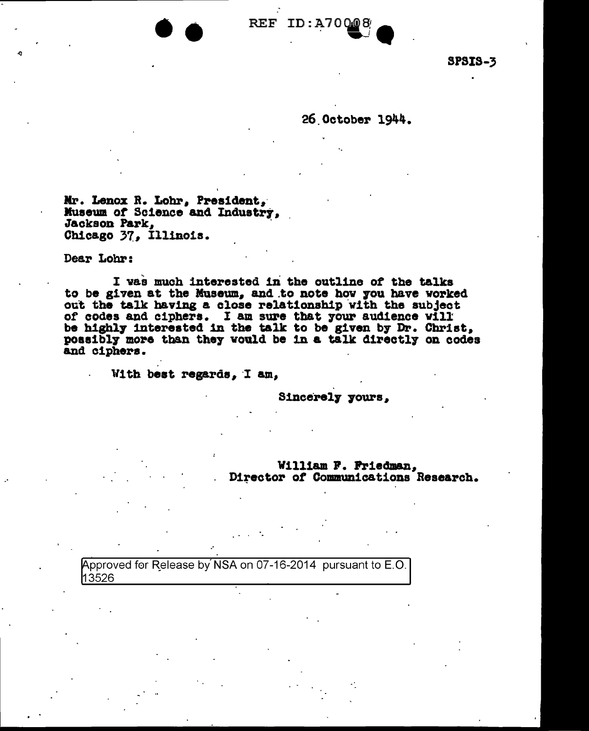

SPSIS-3

26.0ctober 1944.

Mr. Lenox R. Lohr, President, Museum of Science and Industry, Jackson Park,<br>Chicago 37, Illinois.

 $\bullet$ 

Dear Lohr:

. -

I was much interested in the outline of the talks to be given at the Museum, and to note how you have worked out the talk having a close relationship with the subject out the talk having a close relationship with the subject of codes and ciphers. I am sure that your audience vill be highly interested in the talk to be given by Dr. Christ, poasibly more than they would be in a talk directly on codes possibly more than they would be in a talk directly on codes and ciphers.

With best regards, I am,

Sincerely yours,

William P. Priedman, Director of Communications Research.

Approved for Release by NSA on 07-16-2014 pursuant to E.O. 13526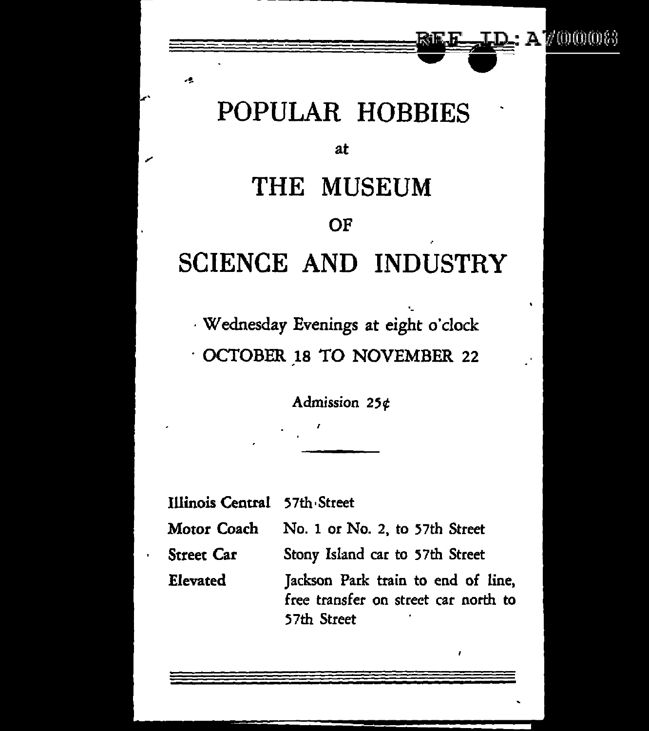### A700008

## POPULAR HOBBIES

#### at

# THE MUSEUM OF SCIENCE AND INDUSTRY

·Wednesday Evenings at eight o'clock · OCTOBER 18 TO NOVEMBER 22

Admission 25¢

Illinois Central 57th Street

Motor Coach No. 1 or No. 2, to 57th Street

Street Car Stony Island car to S7th Street

Elevated Jackson Park train to end of line, free transfer on street car north to S7th Street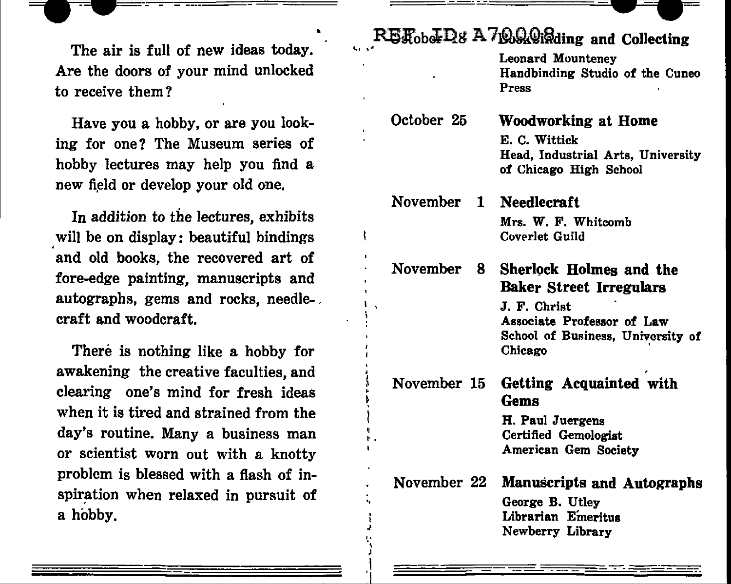The air is full of new ideas today. Are the doors of your mind unlocked to receive them?

Have you a hobby, or are you looking for one? The Museum series of hobby lectures may help you find a new field or develop your old one.

In addition to the lectures, exhibits will be on display: beautiful bindings and old books, the recovered art of fore-edge painting, manuscripts and autographs, gems and rocks, needle-. craft and woodcraft.

There is nothing like a hobby for awakening the creative faculties, and clearing one's mind for fresh ideas when it is tired and strained from the day's routine. Many a business man or scientist worn out with a knotty problem is blessed with a flash of inspiration when relaxed in pursuit of a hobby.

II , ..

.. ·, J I

## $R$ **E** $_{\text{cbb}}$ <sup>I</sup>D<sub>8</sub> A 7<sup>0</sup><sub>2</sub>. Wighing and Collecting

|                        | Leonard Mounteney<br>Handbinding Studio of the Cuneo<br>Press                                                                                           |
|------------------------|---------------------------------------------------------------------------------------------------------------------------------------------------------|
| October 25             | Woodworking at Home<br>E. C. Wittick<br>Head, Industrial Arts, University<br>of Chicago High School                                                     |
| November 1 Needlecraft | Mrs. W. F. Whitcomb<br>Coverlet Guild                                                                                                                   |
| <b>November</b><br>8   | Sherlock Holmes and the<br><b>Baker Street Irregulars</b><br>J. F. Christ<br>Associate Professor of Law<br>School of Business, University of<br>Chicago |
| November 15            | Getting Acquainted with<br>Gems<br>H. Paul Juergens<br>Certified Gemologist<br>American Gem Society                                                     |
| November 22            | <b>Manuscripts and Autographs</b><br>George B. Utley<br>Librarian Emeritus<br>Newberry Library                                                          |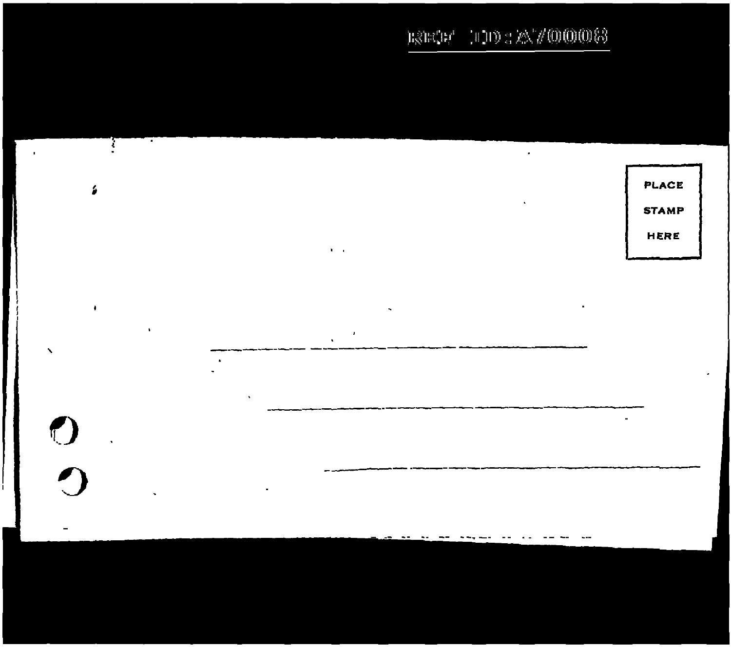$\pm 0.00$  ,  $2 \times 700000$  (3  $\mathbb{E}\hat{\otimes}\mathbb{E}\hat{\otimes}\mathbb{F}^d$